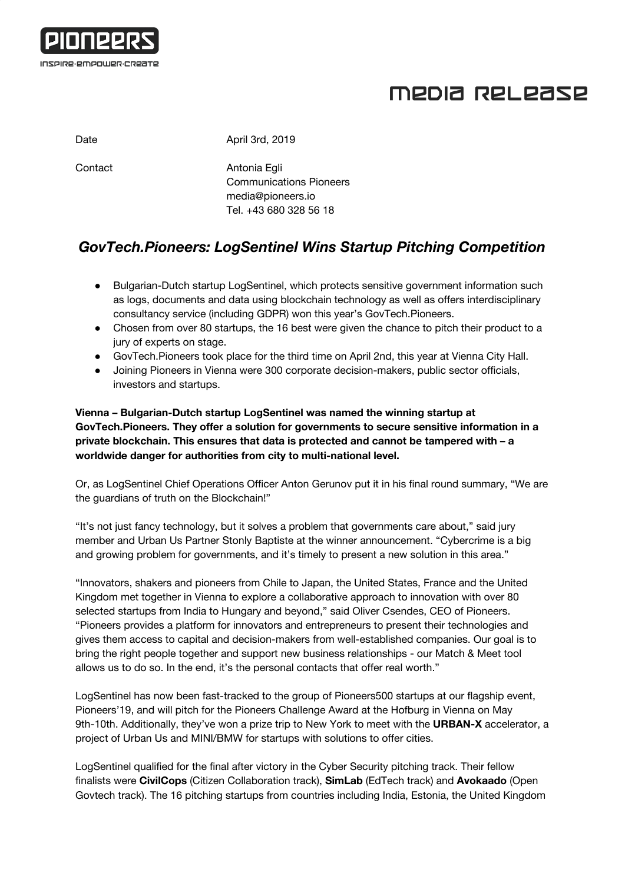

# MEDIA RELEASE

| Date    | April 3rd, 2019                                                                               |
|---------|-----------------------------------------------------------------------------------------------|
| Contact | Antonia Egli<br><b>Communications Pioneers</b><br>media@pioneers.io<br>Tel. +43 680 328 56 18 |

### *GovTech.Pioneers: LogSentinel Wins Startup Pitching Competition*

- Bulgarian-Dutch startup LogSentinel, which protects sensitive government information such as logs, documents and data using blockchain technology as well as offers interdisciplinary consultancy service (including GDPR) won this year's GovTech.Pioneers.
- Chosen from over 80 startups, the 16 best were given the chance to pitch their product to a jury of experts on stage.
- GovTech.Pioneers took place for the third time on April 2nd, this year at Vienna City Hall.
- Joining Pioneers in Vienna were 300 corporate decision-makers, public sector officials, investors and startups.

### **Vienna – Bulgarian-Dutch startup LogSentinel was named the winning startup at GovTech.Pioneers. They offer a solution for governments to secure sensitive information in a private blockchain. This ensures that data is protected and cannot be tampered with – a worldwide danger for authorities from city to multi-national level.**

Or, as LogSentinel Chief Operations Officer Anton Gerunov put it in his final round summary, "We are the guardians of truth on the Blockchain!"

"It's not just fancy technology, but it solves a problem that governments care about," said jury member and Urban Us Partner Stonly Baptiste at the winner announcement. "Cybercrime is a big and growing problem for governments, and it's timely to present a new solution in this area."

"Innovators, shakers and pioneers from Chile to Japan, the United States, France and the United Kingdom met together in Vienna to explore a collaborative approach to innovation with over 80 selected startups from India to Hungary and beyond," said Oliver Csendes, CEO of Pioneers. "Pioneers provides a platform for innovators and entrepreneurs to present their technologies and gives them access to capital and decision-makers from well-established companies. Our goal is to bring the right people together and support new business relationships - our Match & Meet tool allows us to do so. In the end, it's the personal contacts that offer real worth."

LogSentinel has now been fast-tracked to the group of Pioneers500 startups at our flagship event, Pioneers'19, and will pitch for the Pioneers Challenge Award at the Hofburg in Vienna on May 9th-10th. Additionally, they've won a prize trip to New York to meet with the **URBAN-X** accelerator, a project of Urban Us and MINI/BMW for startups with solutions to offer cities.

LogSentinel qualified for the final after victory in the Cyber Security pitching track. Their fellow finalists were **CivilCops** (Citizen Collaboration track), **SimLab** (EdTech track) and **Avokaado** (Open Govtech track). The 16 pitching startups from countries including India, Estonia, the United Kingdom